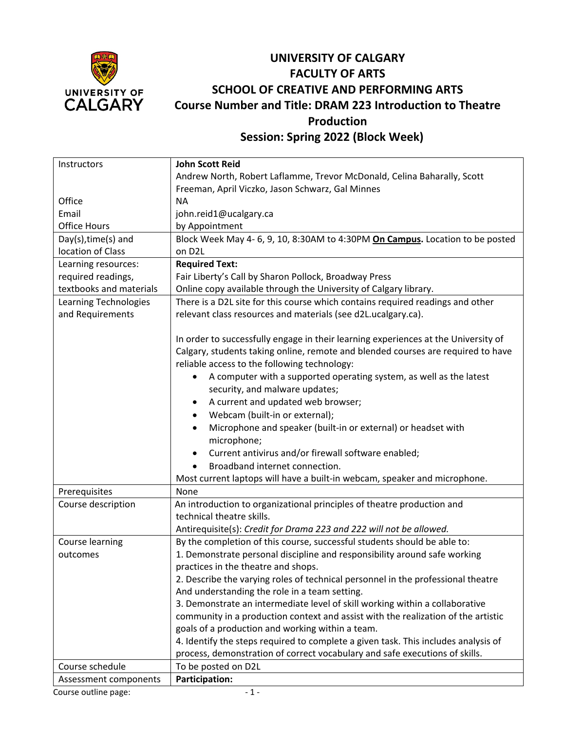

## **UNIVERSITY OF CALGARY FACULTY OF ARTS SCHOOL OF CREATIVE AND PERFORMING ARTS Course Number and Title: DRAM 223 Introduction to Theatre Production Session: Spring 2022 (Block Week)**

**Instructors Office** Email Office Hours **John Scott Reid**  Andrew North, Robert Laflamme, Trevor McDonald, Celina Baharally, Scott Freeman, April Viczko, Jason Schwarz, Gal Minnes NA john.reid1@ucalgary.ca by Appointment Day(s),time(s) and location of Class Block Week May 4- 6, 9, 10, 8:30AM to 4:30PM **On Campus.** Location to be posted on D2L Learning resources: required readings, textbooks and materials **Required Text:** Fair Liberty's Call by Sharon Pollock, Broadway Press Online copy available through the University of Calgary library. Learning Technologies and Requirements There is a D2L site for this course which contains required readings and other relevant class resources and materials (see d2L.ucalgary.ca). In order to successfully engage in their learning experiences at the University of Calgary, students taking online, remote and blended courses are required to have reliable access to the following technology: • A computer with a supported operating system, as well as the latest security, and malware updates; • A current and updated web browser; • Webcam (built-in or external); • Microphone and speaker (built-in or external) or headset with microphone; • Current antivirus and/or firewall software enabled; • Broadband internet connection. Most current laptops will have a built-in webcam, speaker and microphone. Prerequisites | None Course description An introduction to organizational principles of theatre production and technical theatre skills. Antirequisite(s): *Credit for Drama 223 and 222 will not be allowed.* Course learning outcomes By the completion of this course, successful students should be able to: 1. Demonstrate personal discipline and responsibility around safe working practices in the theatre and shops. 2. Describe the varying roles of technical personnel in the professional theatre And understanding the role in a team setting. 3. Demonstrate an intermediate level of skill working within a collaborative community in a production context and assist with the realization of the artistic goals of a production and working within a team. 4. Identify the steps required to complete a given task. This includes analysis of process, demonstration of correct vocabulary and safe executions of skills. Course schedule To be posted on D2L Assessment components **Participation:**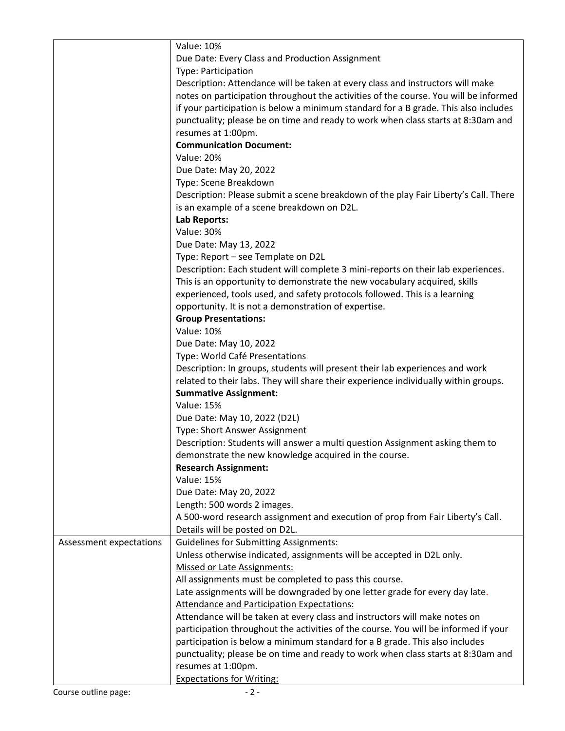|                         | <b>Value: 10%</b>                                                                                                      |
|-------------------------|------------------------------------------------------------------------------------------------------------------------|
|                         | Due Date: Every Class and Production Assignment                                                                        |
|                         | Type: Participation                                                                                                    |
|                         | Description: Attendance will be taken at every class and instructors will make                                         |
|                         |                                                                                                                        |
|                         | notes on participation throughout the activities of the course. You will be informed                                   |
|                         | if your participation is below a minimum standard for a B grade. This also includes                                    |
|                         | punctuality; please be on time and ready to work when class starts at 8:30am and                                       |
|                         | resumes at 1:00pm.                                                                                                     |
|                         | <b>Communication Document:</b>                                                                                         |
|                         | <b>Value: 20%</b>                                                                                                      |
|                         | Due Date: May 20, 2022                                                                                                 |
|                         | Type: Scene Breakdown                                                                                                  |
|                         | Description: Please submit a scene breakdown of the play Fair Liberty's Call. There                                    |
|                         | is an example of a scene breakdown on D2L.                                                                             |
|                         | Lab Reports:                                                                                                           |
|                         | <b>Value: 30%</b>                                                                                                      |
|                         | Due Date: May 13, 2022                                                                                                 |
|                         | Type: Report - see Template on D2L                                                                                     |
|                         | Description: Each student will complete 3 mini-reports on their lab experiences.                                       |
|                         | This is an opportunity to demonstrate the new vocabulary acquired, skills                                              |
|                         |                                                                                                                        |
|                         | experienced, tools used, and safety protocols followed. This is a learning                                             |
|                         | opportunity. It is not a demonstration of expertise.                                                                   |
|                         | <b>Group Presentations:</b>                                                                                            |
|                         | <b>Value: 10%</b>                                                                                                      |
|                         | Due Date: May 10, 2022                                                                                                 |
|                         | Type: World Café Presentations                                                                                         |
|                         | Description: In groups, students will present their lab experiences and work                                           |
|                         | related to their labs. They will share their experience individually within groups.                                    |
|                         | <b>Summative Assignment:</b>                                                                                           |
|                         | <b>Value: 15%</b>                                                                                                      |
|                         | Due Date: May 10, 2022 (D2L)                                                                                           |
|                         | Type: Short Answer Assignment                                                                                          |
|                         | Description: Students will answer a multi question Assignment asking them to                                           |
|                         | demonstrate the new knowledge acquired in the course.                                                                  |
|                         | <b>Research Assignment:</b>                                                                                            |
|                         | <b>Value: 15%</b>                                                                                                      |
|                         | Due Date: May 20, 2022                                                                                                 |
|                         | Length: 500 words 2 images.                                                                                            |
|                         | A 500-word research assignment and execution of prop from Fair Liberty's Call.                                         |
|                         | Details will be posted on D2L.                                                                                         |
| Assessment expectations |                                                                                                                        |
|                         | <b>Guidelines for Submitting Assignments:</b><br>Unless otherwise indicated, assignments will be accepted in D2L only. |
|                         |                                                                                                                        |
|                         | <b>Missed or Late Assignments:</b>                                                                                     |
|                         | All assignments must be completed to pass this course.                                                                 |
|                         | Late assignments will be downgraded by one letter grade for every day late.                                            |
|                         | Attendance and Participation Expectations:                                                                             |
|                         | Attendance will be taken at every class and instructors will make notes on                                             |
|                         | participation throughout the activities of the course. You will be informed if your                                    |
|                         | participation is below a minimum standard for a B grade. This also includes                                            |
|                         | punctuality; please be on time and ready to work when class starts at 8:30am and                                       |
|                         | resumes at 1:00pm.                                                                                                     |
|                         | <b>Expectations for Writing:</b>                                                                                       |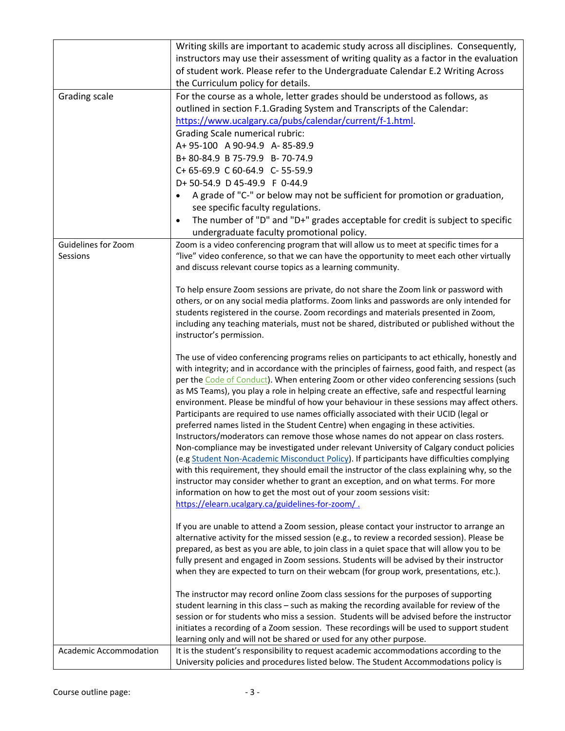|                                 | Writing skills are important to academic study across all disciplines. Consequently,<br>instructors may use their assessment of writing quality as a factor in the evaluation<br>of student work. Please refer to the Undergraduate Calendar E.2 Writing Across<br>the Curriculum policy for details.                                                                                                                                                                                                                                                                                                                                                                                                                                                                                                                                                                                                                                                                                                                                                                                                                                                                                                                                                              |
|---------------------------------|--------------------------------------------------------------------------------------------------------------------------------------------------------------------------------------------------------------------------------------------------------------------------------------------------------------------------------------------------------------------------------------------------------------------------------------------------------------------------------------------------------------------------------------------------------------------------------------------------------------------------------------------------------------------------------------------------------------------------------------------------------------------------------------------------------------------------------------------------------------------------------------------------------------------------------------------------------------------------------------------------------------------------------------------------------------------------------------------------------------------------------------------------------------------------------------------------------------------------------------------------------------------|
| Grading scale                   | For the course as a whole, letter grades should be understood as follows, as<br>outlined in section F.1.Grading System and Transcripts of the Calendar:<br>https://www.ucalgary.ca/pubs/calendar/current/f-1.html.<br><b>Grading Scale numerical rubric:</b><br>A+95-100 A90-94.9 A-85-89.9<br>B+80-84.9 B75-79.9 B-70-74.9<br>C+ 65-69.9 C 60-64.9 C- 55-59.9<br>D+50-54.9 D45-49.9 F 0-44.9<br>A grade of "C-" or below may not be sufficient for promotion or graduation,<br>$\bullet$<br>see specific faculty regulations.<br>The number of "D" and "D+" grades acceptable for credit is subject to specific<br>undergraduate faculty promotional policy.                                                                                                                                                                                                                                                                                                                                                                                                                                                                                                                                                                                                      |
| Guidelines for Zoom<br>Sessions | Zoom is a video conferencing program that will allow us to meet at specific times for a<br>"live" video conference, so that we can have the opportunity to meet each other virtually<br>and discuss relevant course topics as a learning community.<br>To help ensure Zoom sessions are private, do not share the Zoom link or password with<br>others, or on any social media platforms. Zoom links and passwords are only intended for<br>students registered in the course. Zoom recordings and materials presented in Zoom,<br>including any teaching materials, must not be shared, distributed or published without the<br>instructor's permission.                                                                                                                                                                                                                                                                                                                                                                                                                                                                                                                                                                                                          |
|                                 | The use of video conferencing programs relies on participants to act ethically, honestly and<br>with integrity; and in accordance with the principles of fairness, good faith, and respect (as<br>per the Code of Conduct). When entering Zoom or other video conferencing sessions (such<br>as MS Teams), you play a role in helping create an effective, safe and respectful learning<br>environment. Please be mindful of how your behaviour in these sessions may affect others.<br>Participants are required to use names officially associated with their UCID (legal or<br>preferred names listed in the Student Centre) when engaging in these activities.<br>Instructors/moderators can remove those whose names do not appear on class rosters.<br>Non-compliance may be investigated under relevant University of Calgary conduct policies<br>(e.g Student Non-Academic Misconduct Policy). If participants have difficulties complying<br>with this requirement, they should email the instructor of the class explaining why, so the<br>instructor may consider whether to grant an exception, and on what terms. For more<br>information on how to get the most out of your zoom sessions visit:<br>https://elearn.ucalgary.ca/guidelines-for-zoom/. |
|                                 | If you are unable to attend a Zoom session, please contact your instructor to arrange an<br>alternative activity for the missed session (e.g., to review a recorded session). Please be<br>prepared, as best as you are able, to join class in a quiet space that will allow you to be<br>fully present and engaged in Zoom sessions. Students will be advised by their instructor<br>when they are expected to turn on their webcam (for group work, presentations, etc.).                                                                                                                                                                                                                                                                                                                                                                                                                                                                                                                                                                                                                                                                                                                                                                                        |
|                                 | The instructor may record online Zoom class sessions for the purposes of supporting<br>student learning in this class - such as making the recording available for review of the<br>session or for students who miss a session. Students will be advised before the instructor<br>initiates a recording of a Zoom session. These recordings will be used to support student<br>learning only and will not be shared or used for any other purpose.                                                                                                                                                                                                                                                                                                                                                                                                                                                                                                                                                                                                                                                                                                                                                                                                                 |
| Academic Accommodation          | It is the student's responsibility to request academic accommodations according to the<br>University policies and procedures listed below. The Student Accommodations policy is                                                                                                                                                                                                                                                                                                                                                                                                                                                                                                                                                                                                                                                                                                                                                                                                                                                                                                                                                                                                                                                                                    |